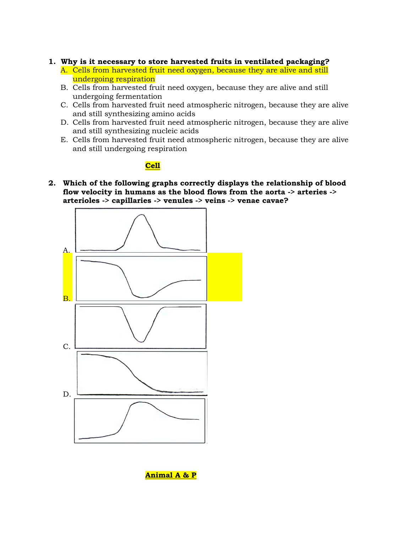### **1. Why is it necessary to store harvested fruits in ventilated packaging?**

- A. Cells from harvested fruit need oxygen, because they are alive and still undergoing respiration
- B. Cells from harvested fruit need oxygen, because they are alive and still undergoing fermentation
- C. Cells from harvested fruit need atmospheric nitrogen, because they are alive and still synthesizing amino acids
- D. Cells from harvested fruit need atmospheric nitrogen, because they are alive and still synthesizing nucleic acids
- E. Cells from harvested fruit need atmospheric nitrogen, because they are alive and still undergoing respiration

## **Cell**

**2. Which of the following graphs correctly displays the relationship of blood flow velocity in humans as the blood flows from the aorta -> arteries -> arterioles -> capillaries -> venules -> veins -> venae cavae?**

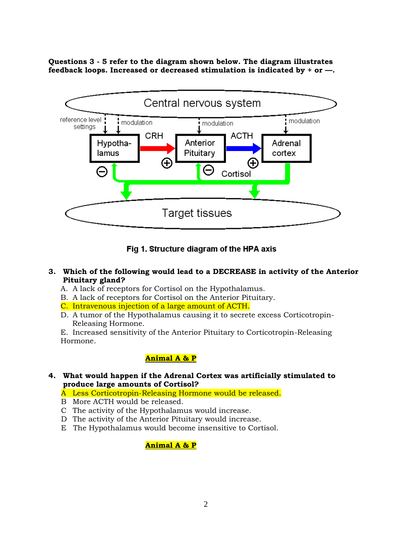**Questions 3 - 5 refer to the diagram shown below. The diagram illustrates feedback loops. Increased or decreased stimulation is indicated by + or —.**



Fig 1. Structure diagram of the HPA axis

- **3. Which of the following would lead to a DECREASE in activity of the Anterior Pituitary gland?**
	- A. A lack of receptors for Cortisol on the Hypothalamus.
	- B. A lack of receptors for Cortisol on the Anterior Pituitary.
	- C. Intravenous injection of a large amount of ACTH.
	- D. A tumor of the Hypothalamus causing it to secrete excess Corticotropin- Releasing Hormone.

E. Increased sensitivity of the Anterior Pituitary to Corticotropin-Releasing Hormone.

## **Animal A & P**

- **4. What would happen if the Adrenal Cortex was artificially stimulated to produce large amounts of Cortisol?**
	- A Less Corticotropin-Releasing Hormone would be released.
	- B More ACTH would be released.
	- C The activity of the Hypothalamus would increase.
	- D The activity of the Anterior Pituitary would increase.
	- E The Hypothalamus would become insensitive to Cortisol.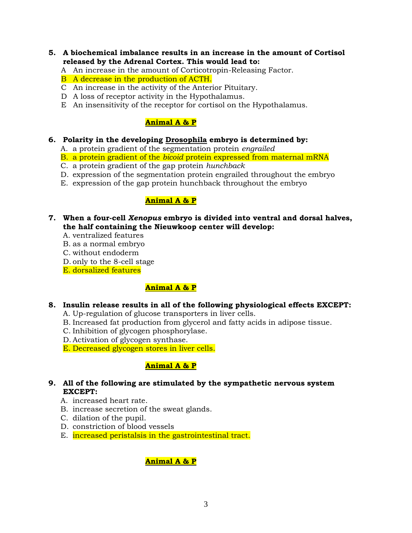- **5. A biochemical imbalance results in an increase in the amount of Cortisol released by the Adrenal Cortex. This would lead to:**
	- A An increase in the amount of Corticotropin-Releasing Factor.
	- B A decrease in the production of ACTH.
	- C An increase in the activity of the Anterior Pituitary.
	- D A loss of receptor activity in the Hypothalamus.
	- E An insensitivity of the receptor for cortisol on the Hypothalamus.

## **Animal A & P**

- **6. Polarity in the developing Drosophila embryo is determined by:**
	- A. a protein gradient of the segmentation protein *engrailed*
	- B. a protein gradient of the *bicoid* protein expressed from maternal mRNA
	- C. a protein gradient of the gap protein *hunchback*
	- D. expression of the segmentation protein engrailed throughout the embryo
	- E. expression of the gap protein hunchback throughout the embryo

## **Animal A & P**

- **7. When a four-cell** *Xenopus* **embryo is divided into ventral and dorsal halves, the half containing the Nieuwkoop center will develop:**
	- A. ventralized features
	- B. as a normal embryo
	- C. without endoderm
	- D. only to the 8-cell stage
	- E. dorsalized features

## **Animal A & P**

### **8. Insulin release results in all of the following physiological effects EXCEPT:**

- A. Up-regulation of glucose transporters in liver cells.
- B. Increased fat production from glycerol and fatty acids in adipose tissue.
- C. Inhibition of glycogen phosphorylase.
- D. Activation of glycogen synthase.
- E. Decreased glycogen stores in liver cells.

## **Animal A & P**

- **9. All of the following are stimulated by the sympathetic nervous system EXCEPT:** 
	- A. increased heart rate.
	- B. increase secretion of the sweat glands.
	- C. dilation of the pupil.
	- D. constriction of blood vessels
	- E. increased peristalsis in the gastrointestinal tract.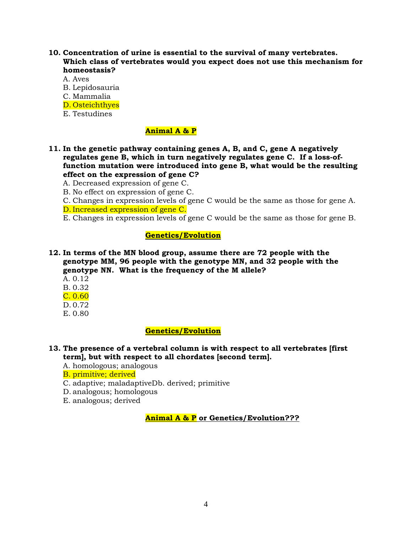- **10. Concentration of urine is essential to the survival of many vertebrates. Which class of vertebrates would you expect does not use this mechanism for homeostasis?**
	- A. Aves
	- B. Lepidosauria
	- C. Mammalia
	- D. Osteichthyes
	- E. Testudines

## **Animal A & P**

- **11. In the genetic pathway containing genes A, B, and C, gene A negatively regulates gene B, which in turn negatively regulates gene C. If a loss-offunction mutation were introduced into gene B, what would be the resulting effect on the expression of gene C?**
	- A. Decreased expression of gene C.
	- B. No effect on expression of gene C.
	- C. Changes in expression levels of gene C would be the same as those for gene A.
	- D. Increased expression of gene C.
	- E. Changes in expression levels of gene C would be the same as those for gene B.

### **Genetics/Evolution**

**12. In terms of the MN blood group, assume there are 72 people with the genotype MM, 96 people with the genotype MN, and 32 people with the genotype NN. What is the frequency of the M allele?**

- A. 0.12
- B. 0.32
- C. 0.60
- D. 0.72
- E. 0.80

## **Genetics/Evolution**

## **13. The presence of a vertebral column is with respect to all vertebrates [first term], but with respect to all chordates [second term].**

A. homologous; analogous

B. primitive; derived

- C. adaptive; maladaptiveDb. derived; primitive
- D. analogous; homologous
- E. analogous; derived

**Animal A & P or Genetics/Evolution???**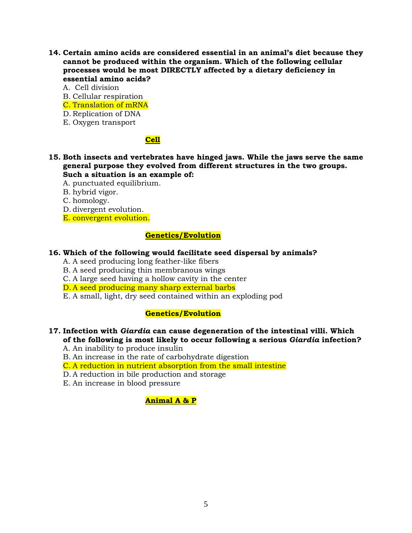- **14. Certain amino acids are considered essential in an animal's diet because they cannot be produced within the organism. Which of the following cellular processes would be most DIRECTLY affected by a dietary deficiency in essential amino acids?**
	- A. Cell division
	- B. Cellular respiration
	- C. Translation of mRNA
	- D. Replication of DNA
	- E. Oxygen transport

## **Cell**

- **15. Both insects and vertebrates have hinged jaws. While the jaws serve the same general purpose they evolved from different structures in the two groups. Such a situation is an example of:**
	- A. punctuated equilibrium.
	- B. hybrid vigor.
	- C. homology.
	- D. divergent evolution.
	- E. convergent evolution.

## **Genetics/Evolution**

#### **16. Which of the following would facilitate seed dispersal by animals?**

- A. A seed producing long feather-like fibers
- B. A seed producing thin membranous wings
- C. A large seed having a hollow cavity in the center
- D. A seed producing many sharp external barbs
- E. A small, light, dry seed contained within an exploding pod

## **Genetics/Evolution**

### **17. Infection with** *Giardia* **can cause degeneration of the intestinal villi. Which of the following is most likely to occur following a serious** *Giardia* **infection?**

- A. An inability to produce insulin
- B. An increase in the rate of carbohydrate digestion
- C. A reduction in nutrient absorption from the small intestine
- D. A reduction in bile production and storage
- E. An increase in blood pressure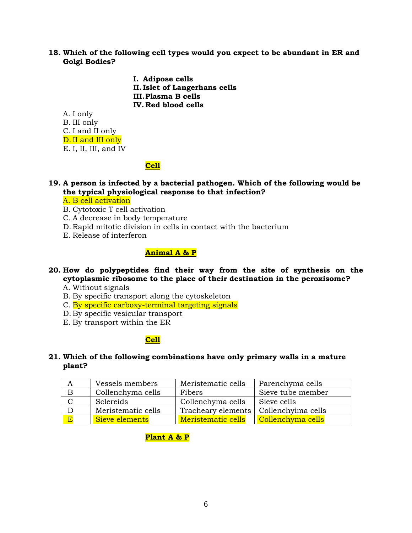**18. Which of the following cell types would you expect to be abundant in ER and Golgi Bodies?**

> **I. Adipose cells II. Islet of Langerhans cells III.Plasma B cells IV. Red blood cells**

A. I only

B. III only

C. I and II only

D. II and III only

E. I, II, III, and IV

## **Cell**

**19. A person is infected by a bacterial pathogen. Which of the following would be the typical physiological response to that infection?**

A. B cell activation

- B. Cytotoxic T cell activation
- C. A decrease in body temperature
- D. Rapid mitotic division in cells in contact with the bacterium
- E. Release of interferon

## **Animal A & P**

**20. How do polypeptides find their way from the site of synthesis on the cytoplasmic ribosome to the place of their destination in the peroxisome?**

A. Without signals

- B. By specific transport along the cytoskeleton
- C. By specific carboxy-terminal targeting signals
- D. By specific vesicular transport
- E. By transport within the ER

## **Cell**

**21. Which of the following combinations have only primary walls in a mature plant?**

|                | Vessels members    | Meristematic cells | Parenchyma cells   |
|----------------|--------------------|--------------------|--------------------|
|                | Collenchyma cells  | Fibers             | Sieve tube member  |
|                | Sclereids          | Collenchyma cells  | Sieve cells        |
|                | Meristematic cells | Tracheary elements | Collenchyima cells |
| $\overline{E}$ | Sieve elements     | Meristematic cells | Collenchyma cells  |

# **Plant A & P**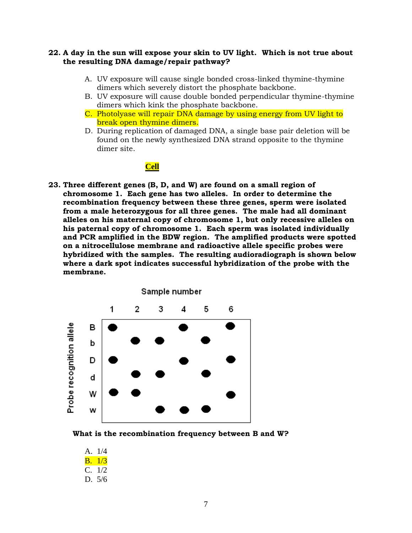### **22. A day in the sun will expose your skin to UV light. Which is not true about the resulting DNA damage/repair pathway?**

- A. UV exposure will cause single bonded cross-linked thymine-thymine dimers which severely distort the phosphate backbone.
- B. UV exposure will cause double bonded perpendicular thymine-thymine dimers which kink the phosphate backbone.
- C. Photolyase will repair DNA damage by using energy from UV light to break open thymine dimers.
- D. During replication of damaged DNA, a single base pair deletion will be found on the newly synthesized DNA strand opposite to the thymine dimer site.

### **Cell**

**23. Three different genes (B, D, and W) are found on a small region of chromosome 1. Each gene has two alleles. In order to determine the recombination frequency between these three genes, sperm were isolated from a male heterozygous for all three genes. The male had all dominant alleles on his maternal copy of chromosome 1, but only recessive alleles on his paternal copy of chromosome 1. Each sperm was isolated individually and PCR amplified in the BDW region. The amplified products were spotted on a nitrocellulose membrane and radioactive allele specific probes were hybridized with the samples. The resulting audioradiograph is shown below where a dark spot indicates successful hybridization of the probe with the membrane.** 



**What is the recombination frequency between B and W?**

A. 1/4 B. 1/3 C. 1/2 D. 5/6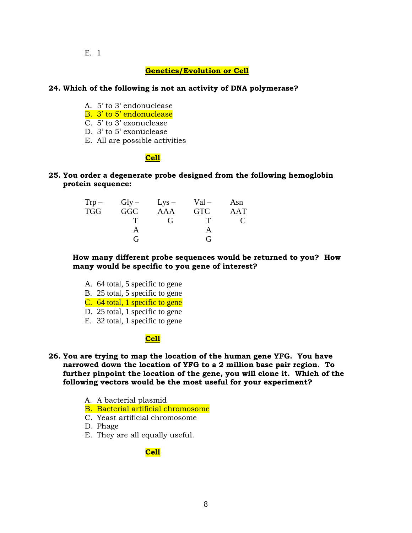#### E. 1

### **Genetics/Evolution or Cell**

#### **24. Which of the following is not an activity of DNA polymerase?**

- A. 5' to 3' endonuclease
- B. 3' to 5' endonuclease
- C. 5' to 3' exonuclease
- D. 3' to 5' exonuclease
- E. All are possible activities

#### **Cell**

### **25. You order a degenerate probe designed from the following hemoglobin protein sequence:**

|     |            | $Trp - Gly - Lys - Val -$ |            | Asn                    |
|-----|------------|---------------------------|------------|------------------------|
| TGG | <b>GGC</b> | AAA                       | <b>GTC</b> | AAT                    |
|     |            | G                         | T          | $\mathbf{\mathcal{L}}$ |
|     |            |                           |            |                        |
|     | G          |                           | G          |                        |

**How many different probe sequences would be returned to you? How many would be specific to you gene of interest?** 

- A. 64 total, 5 specific to gene
- B. 25 total, 5 specific to gene
- C. 64 total, 1 specific to gene
- D. 25 total, 1 specific to gene
- E. 32 total, 1 specific to gene

## **Cell**

- **26. You are trying to map the location of the human gene YFG. You have narrowed down the location of YFG to a 2 million base pair region. To further pinpoint the location of the gene, you will clone it. Which of the following vectors would be the most useful for your experiment?** 
	- A. A bacterial plasmid
	- B. Bacterial artificial chromosome
	- C. Yeast artificial chromosome
	- D. Phage
	- E. They are all equally useful.

### **Cell**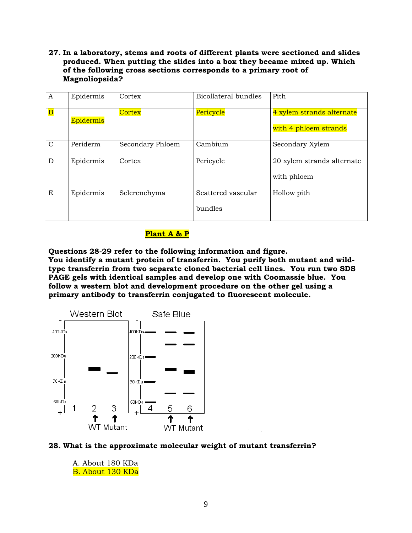**27. In a laboratory, stems and roots of different plants were sectioned and slides produced. When putting the slides into a box they became mixed up. Which of the following cross sections corresponds to a primary root of Magnoliopsida?**

| A                       | Epidermis | Cortex           | Bicollateral bundles          | Pith                                               |
|-------------------------|-----------|------------------|-------------------------------|----------------------------------------------------|
| $\overline{\mathbf{B}}$ | Epidermis | Cortex           | Pericycle                     | 4 xylem strands alternate<br>with 4 phloem strands |
| $\mathcal{C}$           | Periderm  | Secondary Phloem | Cambium                       | Secondary Xylem                                    |
| D                       | Epidermis | Cortex           | Pericycle                     | 20 xylem strands alternate<br>with phloem          |
| E                       | Epidermis | Sclerenchyma     | Scattered vascular<br>bundles | Hollow pith                                        |

### **Plant A & P**

**Questions 28-29 refer to the following information and figure. You identify a mutant protein of transferrin. You purify both mutant and wildtype transferrin from two separate cloned bacterial cell lines. You run two SDS PAGE gels with identical samples and develop one with Coomassie blue. You follow a western blot and development procedure on the other gel using a primary antibody to transferrin conjugated to fluorescent molecule.** 



#### **28. What is the approximate molecular weight of mutant transferrin?**

A. About 180 KDa B. About 130 KDa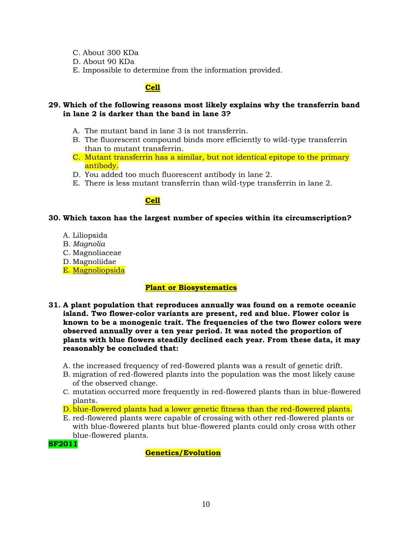- C. About 300 KDa
- D. About 90 KDa
- E. Impossible to determine from the information provided.

## **Cell**

### **29. Which of the following reasons most likely explains why the transferrin band in lane 2 is darker than the band in lane 3?**

- A. The mutant band in lane 3 is not transferrin.
- B. The fluorescent compound binds more efficiently to wild-type transferrin than to mutant transferrin.
- C. Mutant transferrin has a similar, but not identical epitope to the primary antibody.
- D. You added too much fluorescent antibody in lane 2.
- E. There is less mutant transferrin than wild-type transferrin in lane 2.

# **Cell**

### **30. Which taxon has the largest number of species within its circumscription?**

- A. Liliopsida
- B. *Magnolia*
- C. Magnoliaceae
- D. Magnoliidae
- E. [Magnoliopsida](http://www.csdl.tamu.edu/FLORA/Wilson/tfp/tfpe1s95.html#q17#q17)

## **Plant or Biosystematics**

- **31. A plant population that reproduces annually was found on a remote oceanic island. Two flower-color variants are present, red and blue. Flower color is known to be a monogenic trait. The frequencies of the two flower colors were observed annually over a ten year period. It was noted the proportion of plants with blue flowers steadily declined each year. From these data, it may reasonably be concluded that:**
	- A. the increased frequency of red-flowered plants was a result of genetic drift.
	- B. migration of red-flowered plants into the population was the most likely cause of the observed change.
	- C. mutation occurred more frequently in red-flowered plants than in blue-flowered plants.
	- D. blue-flowered plants had a lower genetic fitness than the red-flowered plants.
	- E. red-flowered plants were capable of crossing with other red-flowered plants or with blue-flowered plants but blue-flowered plants could only cross with other blue-flowered plants.

**SF2011**

**Genetics/Evolution**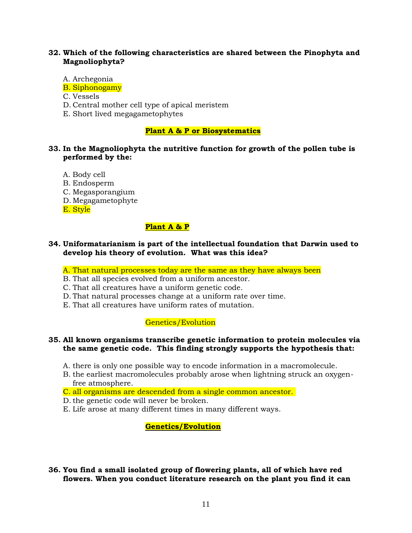### **32. Which of the following characteristics are shared between the Pinophyta and Magnoliophyta?**

- A. Archegonia
- B. Siphonogamy
- C. Vessels
- D. Central mother cell type of apical meristem
- E. Short lived megagametophytes

#### **Plant A & P or Biosystematics**

### **33. In the Magnoliophyta the nutritive function for growth of the pollen tube is performed by the:**

- A. Body cell
- B. Endosperm
- C. Megasporangium
- D. Megagametophyte

E. Style

### **Plant A & P**

#### **34. Uniformatarianism is part of the intellectual foundation that Darwin used to develop his theory of evolution. What was this idea?**

A. That natural processes today are the same as they have always been

- B. That all species evolved from a uniform ancestor.
- C. That all creatures have a uniform genetic code.
- D. That natural processes change at a uniform rate over time.
- E. That all creatures have uniform rates of mutation.

### Genetics/Evolution

#### **35. All known organisms transcribe genetic information to protein molecules via the same genetic code. This finding strongly supports the hypothesis that:**

- A. there is only one possible way to encode information in a macromolecule.
- B. the earliest macromolecules probably arose when lightning struck an oxygenfree atmosphere.
- C. all organisms are descended from a single common ancestor.
- D.the genetic code will never be broken.
- E. Life arose at many different times in many different ways.

#### **Genetics/Evolution**

### **36. You find a small isolated group of flowering plants, all of which have red flowers. When you conduct literature research on the plant you find it can**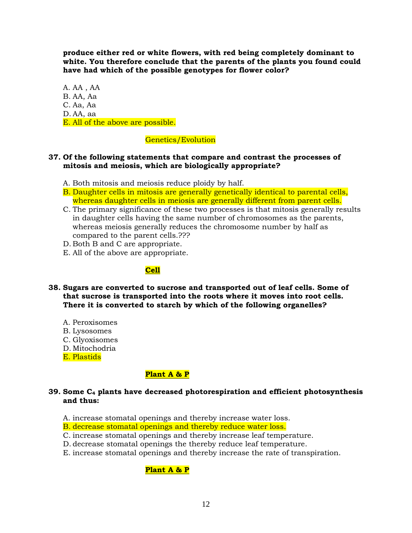**produce either red or white flowers, with red being completely dominant to white. You therefore conclude that the parents of the plants you found could have had which of the possible genotypes for flower color?**

A. AA , AA B. AA, Aa C. Aa, Aa D. AA, aa E. All of the above are possible.

## Genetics/Evolution

### **37. Of the following statements that compare and contrast the processes of mitosis and meiosis, which are biologically appropriate?**

- A. Both mitosis and meiosis reduce ploidy by half.
- B. Daughter cells in mitosis are generally genetically identical to parental cells, whereas daughter cells in meiosis are generally different from parent cells.
- C. The primary significance of these two processes is that mitosis generally results in daughter cells having the same number of chromosomes as the parents, whereas meiosis generally reduces the chromosome number by half as compared to the parent cells.???
- D. Both B and C are appropriate.
- E. All of the above are appropriate.

# **Cell**

- **38. Sugars are converted to sucrose and transported out of leaf cells. Some of that sucrose is transported into the roots where it moves into root cells. There it is converted to starch by which of the following organelles?**
	- A. Peroxisomes
	- B. Lysosomes
	- C. Glyoxisomes
	- D. Mitochodria
	- E. Plastids

### **Plant A & P**

#### **39. Some C<sup>4</sup> plants have decreased photorespiration and efficient photosynthesis and thus:**

- A. increase stomatal openings and thereby increase water loss.
- B. decrease stomatal openings and thereby reduce water loss.
- C. increase stomatal openings and thereby increase leaf temperature.
- D. decrease stomatal openings the thereby reduce leaf temperature.
- E. increase stomatal openings and thereby increase the rate of transpiration.

# **Plant A & P**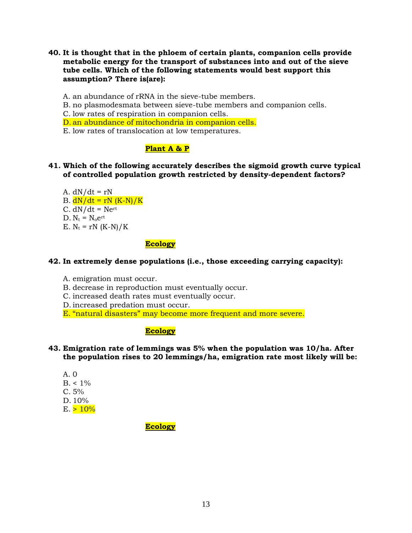**40. It is thought that in the phloem of certain plants, companion cells provide metabolic energy for the transport of substances into and out of the sieve tube cells. Which of the following statements would best support this assumption? There is(are):**

A. an abundance of rRNA in the sieve-tube members.

B. no plasmodesmata between sieve-tube members and companion cells.

C. low rates of respiration in companion cells.

D. an abundance of mitochondria in companion cells.

E. low rates of translocation at low temperatures.

# **Plant A & P**

### **41. Which of the following accurately describes the sigmoid growth curve typical of controlled population growth restricted by density-dependent factors?**

A.  $dN/dt = rN$ B.  $dN/dt = rN (K-N)/K$  $C. dN/dt = Ne^{rt}$  $D. N_t = N_0 e^{rt}$ E.  $N_t = rN (K-N)/K$ 

## **Ecology**

## **42. In extremely dense populations (i.e., those exceeding carrying capacity):**

- A. emigration must occur.
- B. decrease in reproduction must eventually occur.
- C. increased death rates must eventually occur.
- D. increased predation must occur.
- E. "natural disasters" may become more frequent and more severe.

## **Ecology**

### **43. Emigration rate of lemmings was 5% when the population was 10/ha. After the population rises to 20 lemmings/ha, emigration rate most likely will be:**

- A. 0  $B. < 1\%$  $C. 5%$ D. 10%
- $E. > 10%$

**Ecology**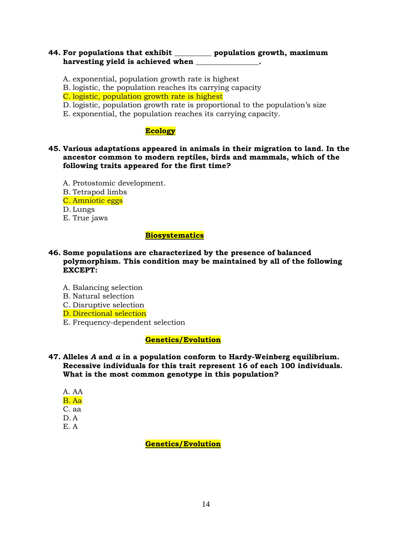## **44. For populations that exhibit \_\_\_\_\_\_\_\_\_\_ population growth, maximum**  harvesting yield is achieved when

- A. exponential, population growth rate is highest
- B. logistic, the population reaches its carrying capacity
- C. logistic, population growth rate is highest
- D. logistic, population growth rate is proportional to the population's size
- E. exponential, the population reaches its carrying capacity.

## **Ecology**

- **45. Various adaptations appeared in animals in their migration to land. In the ancestor common to modern reptiles, birds and mammals, which of the following traits appeared for the first time?**
	- A. Protostomic development.
	- B. Tetrapod limbs
	- C. Amniotic eggs
	- D. Lungs
	- E. True jaws

### **Biosystematics**

## **46. Some populations are characterized by the presence of balanced polymorphism. This condition may be maintained by all of the following EXCEPT:**

- A. Balancing selection
- B. Natural selection
- C. Disruptive selection
- D. Directional selection
- E. Frequency-dependent selection

## **Genetics/Evolution**

- **47. Alleles** *A* **and** *a* **in a population conform to Hardy-Weinberg equilibrium. Recessive individuals for this trait represent 16 of each 100 individuals. What is the most common genotype in this population?**
	- A. AA B. Aa C. aa D. A
	- E. A

**Genetics/Evolution**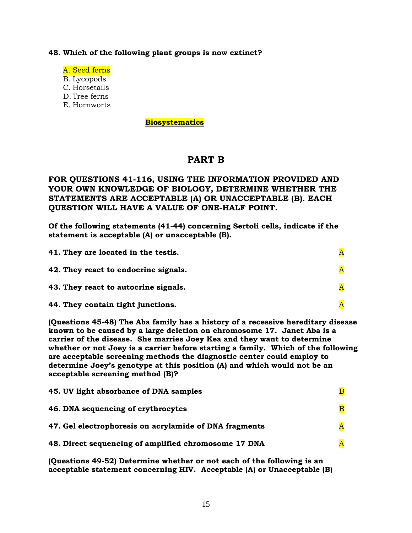#### **48. Which of the following plant groups is now extinct?**

- A. Seed ferns
- B. Lycopods
- C. Horsetails
- D. Tree ferns
- E. Hornworts

#### **Biosystematics**

# **PART B**

# **FOR QUESTIONS 41-116, USING THE INFORMATION PROVIDED AND YOUR OWN KNOWLEDGE OF BIOLOGY, DETERMINE WHETHER THE STATEMENTS ARE ACCEPTABLE (A) OR UNACCEPTABLE (B). EACH QUESTION WILL HAVE A VALUE OF ONE-HALF POINT.**

**Of the following statements (41-44) concerning Sertoli cells, indicate if the statement is acceptable (A) or unacceptable (B).** 

| 41. They are located in the testis.  |  |
|--------------------------------------|--|
| 42. They react to endocrine signals. |  |
| 43. They react to autocrine signals. |  |
| 44. They contain tight junctions.    |  |

**(Questions 45-48) The Aba family has a history of a recessive hereditary disease known to be caused by a large deletion on chromosome 17. Janet Aba is a carrier of the disease. She marries Joey Kea and they want to determine whether or not Joey is a carrier before starting a family. Which of the following are acceptable screening methods the diagnostic center could employ to determine Joey's genotype at this position (A) and which would not be an acceptable screening method (B)?** 

| 45. UV light absorbance of DNA samples                 |                         |
|--------------------------------------------------------|-------------------------|
| 46. DNA sequencing of erythrocytes                     | $\overline{\mathbf{B}}$ |
| 47. Gel electrophoresis on acrylamide of DNA fragments | $\overline{\mathbf{A}}$ |
| 48. Direct sequencing of amplified chromosome 17 DNA   | $\overline{\mathbf{A}}$ |

**(Questions 49-52) Determine whether or not each of the following is an acceptable statement concerning HIV. Acceptable (A) or Unacceptable (B)**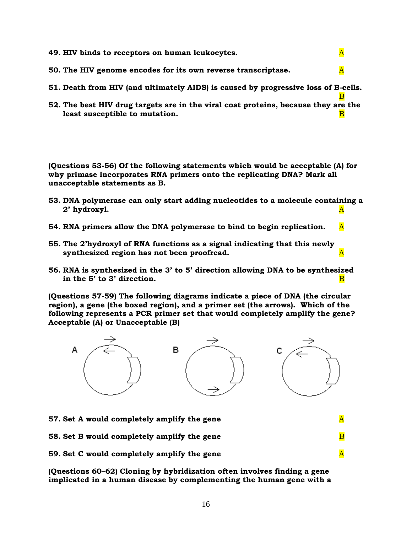| 49. HIV binds to receptors on human leukocytes.                                                                      | A |
|----------------------------------------------------------------------------------------------------------------------|---|
| 50. The HIV genome encodes for its own reverse transcriptase.                                                        | A |
| 51. Death from HIV (and ultimately AIDS) is caused by progressive loss of B-cells.                                   |   |
| 52. The best HIV drug targets are in the viral coat proteins, because they are the<br>least susceptible to mutation. |   |

**(Questions 53-56) Of the following statements which would be acceptable (A) for why primase incorporates RNA primers onto the replicating DNA? Mark all unacceptable statements as B.**

- **53. DNA polymerase can only start adding nucleotides to a molecule containing a 2' hydroxyl.** A
- **54. RNA primers allow the DNA polymerase to bind to begin replication.** A
- **55. The 2'hydroxyl of RNA functions as a signal indicating that this newly synthesized region has not been proofread.** A stationary state of  $\mathbf{A}$
- **56. RNA is synthesized in the 3' to 5' direction allowing DNA to be synthesized**  in the 5' to 3' direction.

**(Questions 57-59) The following diagrams indicate a piece of DNA (the circular region), a gene (the boxed region), and a primer set (the arrows). Which of the following represents a PCR primer set that would completely amplify the gene? Acceptable (A) or Unacceptable (B)** 



**57.** Set A would completely amplify the gene  $\overline{A}$ **58. Set B would completely amplify the gene** B **59.** Set C would completely amplify the gene A

**(Questions 60–62) Cloning by hybridization often involves finding a gene implicated in a human disease by complementing the human gene with a**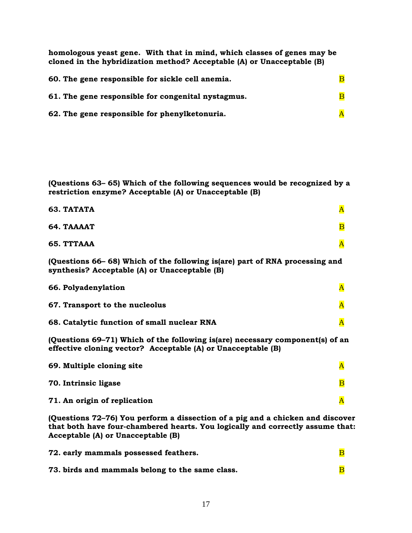**homologous yeast gene. With that in mind, which classes of genes may be cloned in the hybridization method? Acceptable (A) or Unacceptable (B)** 

| 60. The gene responsible for sickle cell anemia.   |  |
|----------------------------------------------------|--|
| 61. The gene responsible for congenital nystagmus. |  |
| 62. The gene responsible for phenylketonuria.      |  |

**(Questions 63– 65) Which of the following sequences would be recognized by a restriction enzyme? Acceptable (A) or Unacceptable (B)** 

| 63. TATATA                                                                                                                                    | $\overline{\mathbf{A}}$ |
|-----------------------------------------------------------------------------------------------------------------------------------------------|-------------------------|
| 64. TAAAAT                                                                                                                                    | $\overline{\mathbf{B}}$ |
| 65. TTTAAA                                                                                                                                    | $\overline{\text{A}}$   |
| (Questions 66-68) Which of the following is(are) part of RNA processing and<br>synthesis? Acceptable (A) or Unacceptable (B)                  |                         |
| 66. Polyadenylation                                                                                                                           | $\overline{\mathbf{A}}$ |
| 67. Transport to the nucleolus                                                                                                                | $\overline{\mathbf{A}}$ |
| 68. Catalytic function of small nuclear RNA                                                                                                   | $\overline{\text{A}}$   |
| (Questions 69-71) Which of the following is(are) necessary component(s) of an<br>effective cloning vector? Acceptable (A) or Unacceptable (B) |                         |
| 69. Multiple cloning site                                                                                                                     | $\overline{\mathbf{A}}$ |
| 70. Intrinsic ligase                                                                                                                          | $\overline{\mathbf{B}}$ |
| 71. An origin of replication                                                                                                                  | $\overline{\text{A}}$   |

**(Questions 72–76) You perform a dissection of a pig and a chicken and discover that both have four-chambered hearts. You logically and correctly assume that: Acceptable (A) or Unacceptable (B)** 

| 72. early mammals possessed feathers.           |  |
|-------------------------------------------------|--|
| 73. birds and mammals belong to the same class. |  |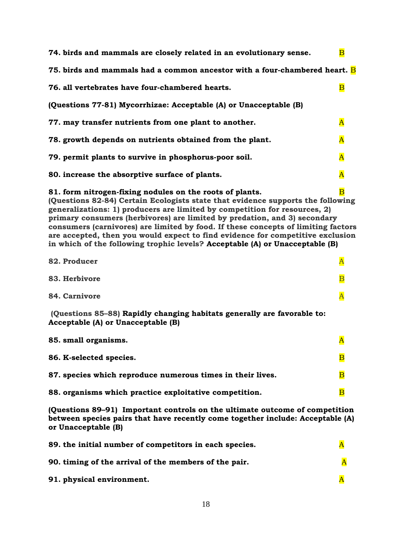| 74. birds and mammals are closely related in an evolutionary sense.                                                                                                                                                                                                                                                                                                                                                                                                                                                                                           | $\overline{\mathbf{B}}$ |
|---------------------------------------------------------------------------------------------------------------------------------------------------------------------------------------------------------------------------------------------------------------------------------------------------------------------------------------------------------------------------------------------------------------------------------------------------------------------------------------------------------------------------------------------------------------|-------------------------|
| 75. birds and mammals had a common ancestor with a four-chambered heart. <b>B</b>                                                                                                                                                                                                                                                                                                                                                                                                                                                                             |                         |
| 76. all vertebrates have four-chambered hearts.                                                                                                                                                                                                                                                                                                                                                                                                                                                                                                               | $\overline{\mathbf{B}}$ |
| (Questions 77-81) Mycorrhizae: Acceptable (A) or Unacceptable (B)                                                                                                                                                                                                                                                                                                                                                                                                                                                                                             |                         |
| 77. may transfer nutrients from one plant to another.                                                                                                                                                                                                                                                                                                                                                                                                                                                                                                         | $\overline{\mathbf{A}}$ |
| 78. growth depends on nutrients obtained from the plant.                                                                                                                                                                                                                                                                                                                                                                                                                                                                                                      | $\overline{\mathbf{A}}$ |
| 79. permit plants to survive in phosphorus-poor soil.                                                                                                                                                                                                                                                                                                                                                                                                                                                                                                         | $\overline{\mathbf{A}}$ |
| 80. increase the absorptive surface of plants.                                                                                                                                                                                                                                                                                                                                                                                                                                                                                                                | $\overline{\mathbf{A}}$ |
| 81. form nitrogen-fixing nodules on the roots of plants.<br>(Questions 82-84) Certain Ecologists state that evidence supports the following<br>generalizations: 1) producers are limited by competition for resources, 2)<br>primary consumers (herbivores) are limited by predation, and 3) secondary<br>consumers (carnivores) are limited by food. If these concepts of limiting factors<br>are accepted, then you would expect to find evidence for competitive exclusion<br>in which of the following trophic levels? Acceptable (A) or Unacceptable (B) | $\overline{\mathbf{B}}$ |
| 82. Producer                                                                                                                                                                                                                                                                                                                                                                                                                                                                                                                                                  | $\overline{\mathbf{A}}$ |
| 83. Herbivore                                                                                                                                                                                                                                                                                                                                                                                                                                                                                                                                                 | $\overline{\mathbf{B}}$ |
| 84. Carnivore                                                                                                                                                                                                                                                                                                                                                                                                                                                                                                                                                 | $\overline{\mathbf{A}}$ |
| (Questions 85-88) Rapidly changing habitats generally are favorable to:<br>Acceptable (A) or Unacceptable (B)                                                                                                                                                                                                                                                                                                                                                                                                                                                 |                         |
| 85. small organisms.                                                                                                                                                                                                                                                                                                                                                                                                                                                                                                                                          | $\overline{\mathbf{A}}$ |
| 86. K-selected species.                                                                                                                                                                                                                                                                                                                                                                                                                                                                                                                                       | $\overline{\mathbf{B}}$ |
| 87. species which reproduce numerous times in their lives.                                                                                                                                                                                                                                                                                                                                                                                                                                                                                                    | $\overline{\mathbf{B}}$ |
| 88. organisms which practice exploitative competition.                                                                                                                                                                                                                                                                                                                                                                                                                                                                                                        | $\overline{\mathbf{B}}$ |
| (Questions 89–91) Important controls on the ultimate outcome of competition<br>between species pairs that have recently come together include: Acceptable (A)                                                                                                                                                                                                                                                                                                                                                                                                 |                         |

| or Unacceptable (B)                                    |  |
|--------------------------------------------------------|--|
| 89. the initial number of competitors in each species. |  |
| 90. timing of the arrival of the members of the pair.  |  |

**91. physical environment. A**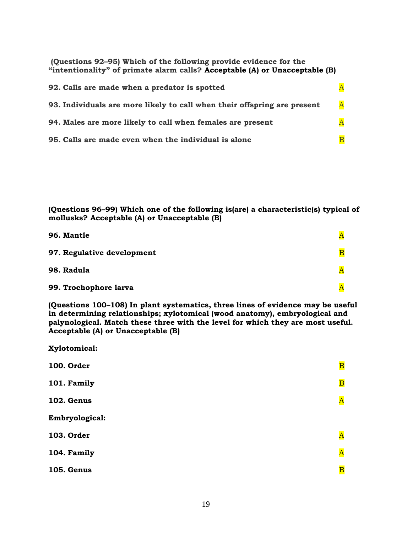**(Questions 92–95) Which of the following provide evidence for the "intentionality" of primate alarm calls? Acceptable (A) or Unacceptable (B)** 

| 92. Calls are made when a predator is spotted                            |                         |
|--------------------------------------------------------------------------|-------------------------|
| 93. Individuals are more likely to call when their offspring are present | $\overline{\mathbf{A}}$ |
| 94. Males are more likely to call when females are present               | $\overline{\mathbf{A}}$ |
| 95. Calls are made even when the individual is alone                     | $\overline{\mathbf{B}}$ |

**(Questions 96–99) Which one of the following is(are) a characteristic(s) typical of mollusks? Acceptable (A) or Unacceptable (B)** 

| 96. Mantle                 |                         |
|----------------------------|-------------------------|
| 97. Regulative development | $\overline{\mathbf{B}}$ |
| 98. Radula                 | Α                       |
| 99. Trochophore larva      | $\overline{\bm{A}}$     |

**(Questions 100–108) In plant systematics, three lines of evidence may be useful in determining relationships; xylotomical (wood anatomy), embryological and palynological. Match these three with the level for which they are most useful. Acceptable (A) or Unacceptable (B)** 

**Xylotomical:**

| <b>100. Order</b> | $\overline{\mathbf{B}}$ |
|-------------------|-------------------------|
| 101. Family       | $\overline{\mathbf{B}}$ |
| 102. Genus        | $\overline{\mathbf{A}}$ |
| Embryological:    |                         |
| 103. Order        | $\overline{\mathbf{A}}$ |
| 104. Family       | $\overline{\mathbf{A}}$ |
| <b>105. Genus</b> | $\overline{\mathbf{B}}$ |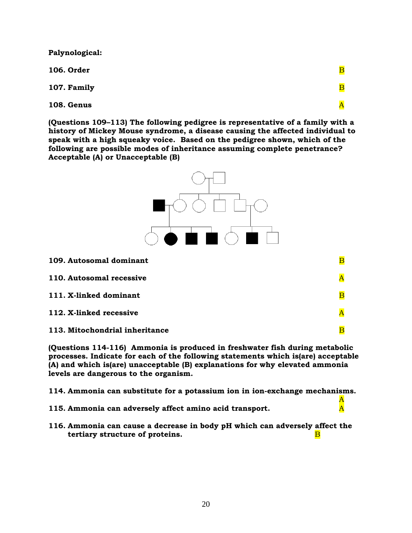**Palynological:**

**106. Order** B

**107. Family** B

**108. Genus** A

**(Questions 109–113) The following pedigree is representative of a family with a history of Mickey Mouse syndrome, a disease causing the affected individual to speak with a high squeaky voice. Based on the pedigree shown, which of the following are possible modes of inheritance assuming complete penetrance? Acceptable (A) or Unacceptable (B)** 



**(Questions 114-116) Ammonia is produced in freshwater fish during metabolic processes. Indicate for each of the following statements which is(are) acceptable (A) and which is(are) unacceptable (B) explanations for why elevated ammonia levels are dangerous to the organism.** 

**114. Ammonia can substitute for a potassium ion in ion-exchange mechanisms.**

A

- **115. Ammonia can adversely affect amino acid transport.** A
- **116. Ammonia can cause a decrease in body pH which can adversely affect the tertiary structure of proteins.** B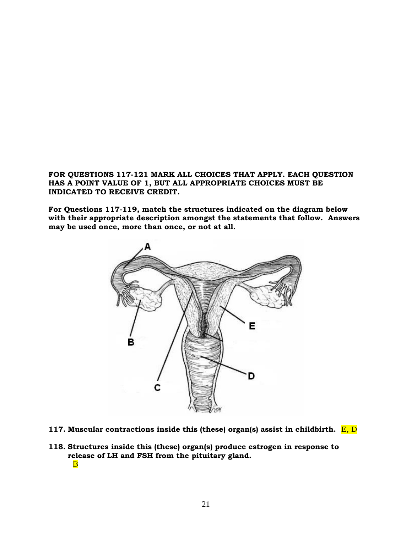**FOR QUESTIONS 117-121 MARK ALL CHOICES THAT APPLY. EACH QUESTION HAS A POINT VALUE OF 1, BUT ALL APPROPRIATE CHOICES MUST BE INDICATED TO RECEIVE CREDIT.**

**For Questions 117-119, match the structures indicated on the diagram below with their appropriate description amongst the statements that follow. Answers may be used once, more than once, or not at all.**



- **117. Muscular contractions inside this (these) organ(s) assist in childbirth.** E, D
- **118. Structures inside this (these) organ(s) produce estrogen in response to release of LH and FSH from the pituitary gland.** B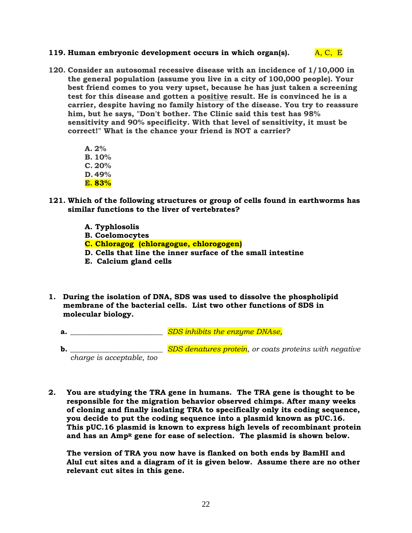### **119. Human embryonic development occurs in which organ(s).**  $A, C, E$

- **120. Consider an autosomal recessive disease with an incidence of 1/10,000 in the general population (assume you live in a city of 100,000 people). Your best friend comes to you very upset, because he has just taken a screening test for this disease and gotten a positive result. He is convinced he is a carrier, despite having no family history of the disease. You try to reassure him, but he says, "Don't bother. The Clinic said this test has 98% sensitivity and 90% specificity. With that level of sensitivity, it must be correct!" What is the chance your friend is NOT a carrier?**
	- **A. 2% B. 10% C. 20% D. 49% E. 83%**
- **121. Which of the following structures or group of cells found in earthworms has similar functions to the liver of vertebrates?**
	- **A. Typhlosolis**
	- **B. Coelomocytes**
	- **C. Chloragog (chloragogue, chlorogogen)**
	- **D. Cells that line the inner surface of the small intestine**
	- **E. Calcium gland cells**
- **1. During the isolation of DNA, SDS was used to dissolve the phospholipid membrane of the bacterial cells. List two other functions of SDS in molecular biology.**
	- **a.**  $\sum_{i=1}^{n} SDS$  *inhibits the enzyme DNAse,*
	- **b.** \_\_\_\_\_\_\_\_\_\_\_\_\_\_\_\_\_\_\_\_\_\_\_\_\_\_\_*SDS denatures protein*, or coats proteins with negative *charge is acceptable, too*
- **2. You are studying the TRA gene in humans. The TRA gene is thought to be responsible for the migration behavior observed chimps. After many weeks of cloning and finally isolating TRA to specifically only its coding sequence, you decide to put the coding sequence into a plasmid known as pUC.16. This pUC.16 plasmid is known to express high levels of recombinant protein and has an Amp<sup>R</sup> gene for ease of selection. The plasmid is shown below.**

**The version of TRA you now have is flanked on both ends by BamHI and AluI cut sites and a diagram of it is given below. Assume there are no other relevant cut sites in this gene.**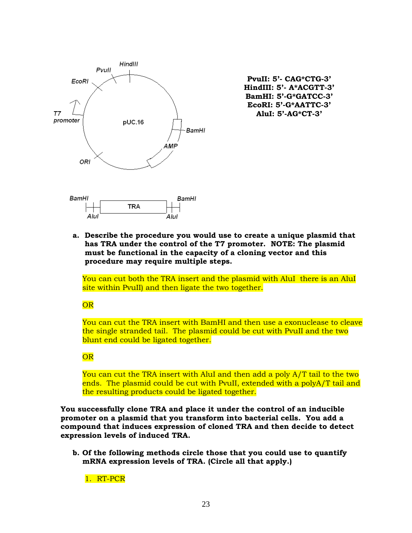

**PvuII: 5'- CAG\*CTG-3' HindIII: 5'- A\*ACGTT-3' BamHI: 5'-G\*GATCC-3' EcoRI: 5'-G\*AATTC-3' AluI: 5'-AG\*CT-3'**

**a. Describe the procedure you would use to create a unique plasmid that has TRA under the control of the T7 promoter. NOTE: The plasmid must be functional in the capacity of a cloning vector and this procedure may require multiple steps.**

You can cut both the TRA insert and the plasmid with AluI there is an AluI site within PvuII) and then ligate the two together.

**OR** 

You can cut the TRA insert with BamHI and then use a exonuclease to cleave the single stranded tail. The plasmid could be cut with PvuII and the two blunt end could be ligated together.

### OR

You can cut the TRA insert with AluI and then add a poly A/T tail to the two ends. The plasmid could be cut with PvuII, extended with a polyA/T tail and the resulting products could be ligated together.

**You successfully clone TRA and place it under the control of an inducible promoter on a plasmid that you transform into bacterial cells. You add a compound that induces expression of cloned TRA and then decide to detect expression levels of induced TRA.**

**b. Of the following methods circle those that you could use to quantify mRNA expression levels of TRA. (Circle all that apply.)**

1. RT-PCR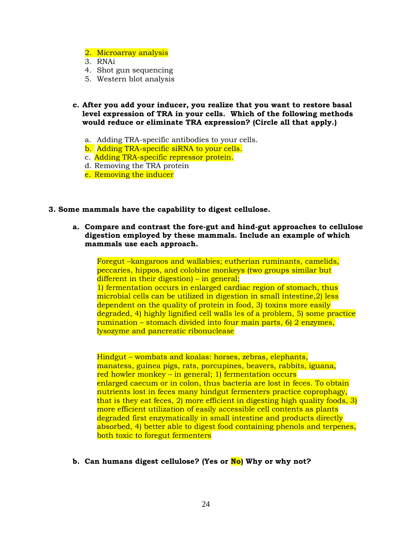- 2. Microarray analysis
- 3. RNAi
- 4. Shot gun sequencing
- 5. Western blot analysis
- **c. After you add your inducer, you realize that you want to restore basal level expression of TRA in your cells. Which of the following methods would reduce or eliminate TRA expression? (Circle all that apply.)**
	- a. Adding TRA-specific antibodies to your cells.
	- b. Adding TRA-specific siRNA to your cells.
	- c. Adding TRA-specific repressor protein.
	- d. Removing the TRA protein
	- e. Removing the inducer
- **3. Some mammals have the capability to digest cellulose.** 
	- **a. Compare and contrast the fore-gut and hind-gut approaches to cellulose digestion employed by these mammals. Include an example of which mammals use each approach.**

Foregut –kangaroos and wallabies; eutherian ruminants, camelids, peccaries, hippos, and colobine monkeys (two groups similar but different in their digestion) – in general; 1) fermentation occurs in enlarged cardiac region of stomach, thus microbial cells can be utilized in digestion in small intestine,2) less dependent on the quality of protein in food, 3) toxins more easily degraded, 4) highly lignified cell walls les of a problem, 5) some practice rumination – stomach divided into four main parts, 6) 2 enzymes, lysozyme and pancreatic ribonuclease

Hindgut – wombats and koalas: horses, zebras, elephants, manatess, guinea pigs, rats, porcupines, beavers, rabbits, iguana, red howler monkey – in general; 1) fermentation occurs enlarged caecum or in colon, thus bacteria are lost in feces. To obtain nutrients lost in feces many hindgut fermenters practice coprophagy, that is they eat feces, 2) more efficient in digesting high quality foods, 3) more efficient utilization of easily accessible cell contents as plants degraded first enzymatically in small intestine and products directly absorbed, 4) better able to digest food containing phenols and terpenes, both toxic to foregut fermenters

**b. Can humans digest cellulose? (Yes or No) Why or why not?**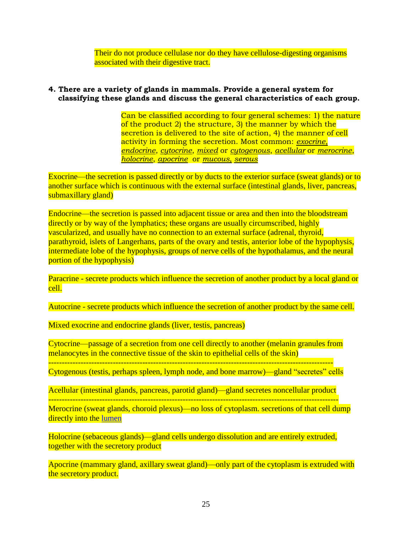Their do not produce cellulase nor do they have cellulose-digesting organisms associated with their digestive tract.

## **4. There are a variety of glands in mammals. Provide a general system for classifying these glands and discuss the general characteristics of each group.**

Can be classified according to four general schemes: 1) the nature of the product 2) the structure, 3) the manner by which the secretion is delivered to the site of action, 4) the manner of cell activity in forming the secretion. Most common: *exocrine*, *endocrine*, *cytocrine*, *mixed* or *cytogenous*, *acellular* or *merocrine*, *holocrine*, *apocrine* or *mucous, serous*

Exocrine—the secretion is passed directly or by ducts to the exterior surface (sweat glands) or to another surface which is continuous with the external surface (intestinal glands, liver, pancreas, submaxillary gland)

Endocrine—the secretion is passed into adjacent tissue or area and then into the bloodstream directly or by way of the lymphatics; these organs are usually circumscribed, highly vascularized, and usually have no connection to an external surface (adrenal, thyroid, parathyroid, islets of Langerhans, parts of the ovary and testis, anterior lobe of the hypophysis, intermediate lobe of the hypophysis, groups of nerve cells of the hypothalamus, and the neural portion of the hypophysis)

Paracrine - secrete products which influence the secretion of another product by a local gland or cell.

Autocrine - secrete products which influence the secretion of another product by the same cell.

Mixed exocrine and endocrine glands (liver, testis, pancreas)

Cytocrine—passage of a secretion from one cell directly to another (melanin granules from melanocytes in the connective tissue of the skin to epithelial cells of the skin)

---------------------------------------------------------------------------------------------------------- Cytogenous (testis, perhaps spleen, lymph node, and bone marrow)—gland "secretes" cells

Acellular (intestinal glands, pancreas, parotid gland)—gland secretes noncellular product

------------------------------------------------------------------------------------------------------------

Merocrine (sweat glands, choroid plexus)—no loss of cytoplasm. secretions of that cell dump directly into the [lumen](http://en.wikipedia.org/wiki/Lumen_%28anatomy%29)

Holocrine (sebaceous glands)—gland cells undergo dissolution and are entirely extruded, together with the secretory product

Apocrine (mammary gland, axillary sweat gland)—only part of the cytoplasm is extruded with the secretory product.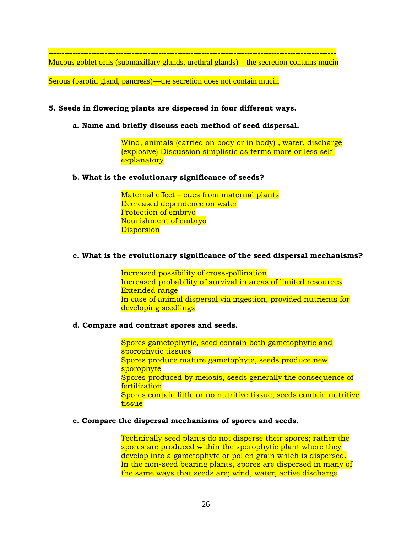----------------------------------------------------------------------------------------------------------- Mucous goblet cells (submaxillary glands, urethral glands)—the secretion contains mucin

Serous (parotid gland, pancreas)—the secretion does not contain mucin

### **5. Seeds in flowering plants are dispersed in four different ways.**

**a. Name and briefly discuss each method of seed dispersal.**

Wind, animals (carried on body or in body) , water, discharge (explosive) Discussion simplistic as terms more or less selfexplanatory

### **b. What is the evolutionary significance of seeds?**

Maternal effect – cues from maternal plants Decreased dependence on water Protection of embryo Nourishment of embryo **Dispersion** 

### **c. What is the evolutionary significance of the seed dispersal mechanisms?**

Increased possibility of cross-pollination Increased probability of survival in areas of limited resources Extended range In case of animal dispersal via ingestion, provided nutrients for developing seedlings

### **d. Compare and contrast spores and seeds.**

Spores gametophytic, seed contain both gametophytic and sporophytic tissues Spores produce mature gametophyte, seeds produce new sporophyte Spores produced by meiosis, seeds generally the consequence of fertilization Spores contain little or no nutritive tissue, seeds contain nutritive tissue

#### **e. Compare the dispersal mechanisms of spores and seeds.**

Technically seed plants do not disperse their spores; rather the spores are produced within the sporophytic plant where they develop into a gametophyte or pollen grain which is dispersed. In the non-seed bearing plants, spores are dispersed in many of the same ways that seeds are; wind, water, active discharge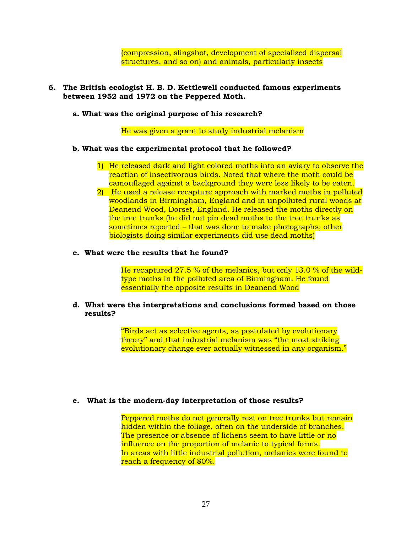(compression, slingshot, development of specialized dispersal structures, and so on) and animals, particularly insects

### **6. The British ecologist H. B. D. Kettlewell conducted famous experiments between 1952 and 1972 on the Peppered Moth.**

**a. What was the original purpose of his research?** 

He was given a grant to study industrial melanism

#### **b. What was the experimental protocol that he followed?**

- 1) He released dark and light colored moths into an aviary to observe the reaction of insectivorous birds. Noted that where the moth could be camouflaged against a background they were less likely to be eaten.
- 2) He used a release recapture approach with marked moths in polluted woodlands in Birmingham, England and in unpolluted rural woods at Deanend Wood, Dorset, England. He released the moths directly on the tree trunks (he did not pin dead moths to the tree trunks as sometimes reported – that was done to make photographs; other biologists doing similar experiments did use dead moths)

#### **c. What were the results that he found?**

He recaptured 27.5 % of the melanics, but only 13.0 % of the wildtype moths in the polluted area of Birmingham. He found essentially the opposite results in Deanend Wood

#### **d. What were the interpretations and conclusions formed based on those results?**

"Birds act as selective agents, as postulated by evolutionary theory" and that industrial melanism was "the most striking evolutionary change ever actually witnessed in any organism."

#### **e. What is the modern-day interpretation of those results?**

Peppered moths do not generally rest on tree trunks but remain hidden within the foliage, often on the underside of branches. The presence or absence of lichens seem to have little or no influence on the proportion of melanic to typical forms. In areas with little industrial pollution, melanics were found to reach a frequency of 80%.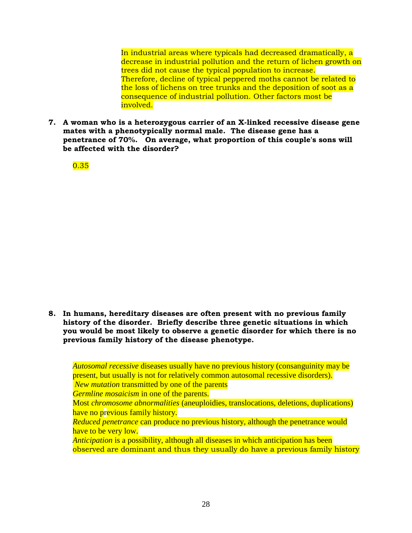In industrial areas where typicals had decreased dramatically, a decrease in industrial pollution and the return of lichen growth on trees did not cause the typical population to increase. Therefore, decline of typical peppered moths cannot be related to the loss of lichens on tree trunks and the deposition of soot as a consequence of industrial pollution. Other factors most be involved.

**7. A woman who is a heterozygous carrier of an X-linked recessive disease gene mates with a phenotypically normal male. The disease gene has a penetrance of 70%. On average, what proportion of this couple's sons will be affected with the disorder?**

0.35

**8. In humans, hereditary diseases are often present with no previous family history of the disorder. Briefly describe three genetic situations in which you would be most likely to observe a genetic disorder for which there is no previous family history of the disease phenotype.**

*Autosomal recessive* diseases usually have no previous history (consanguinity may be present, but usually is not for relatively common autosomal recessive disorders). *New mutation* transmitted by one of the parents *Germline mosaicism* in one of the parents. Most *chromosome abnormalities* (aneuploidies, translocations, deletions, duplications) have no previous family history. *Reduced penetrance* can produce no previous history, although the penetrance would

have to be very low.

*Anticipation* is a possibility, although all diseases in which anticipation has been observed are dominant and thus they usually do have a previous family history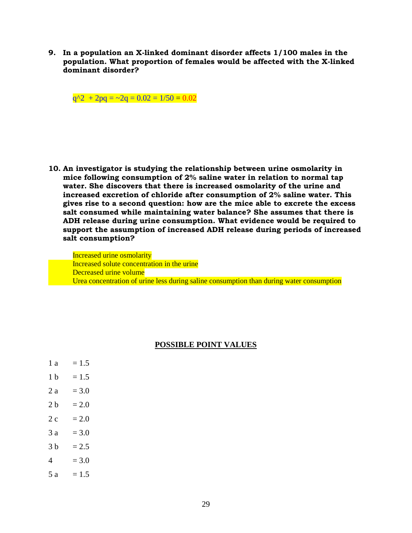**9. In a population an X-linked dominant disorder affects 1/100 males in the population. What proportion of females would be affected with the X-linked dominant disorder?**

 $q^2 + 2pq = -2q = 0.02 = 1/50 = 0.02$ 

**10. An investigator is studying the relationship between urine osmolarity in mice following consumption of 2% saline water in relation to normal tap water. She discovers that there is increased osmolarity of the urine and increased excretion of chloride after consumption of 2% saline water. This gives rise to a second question: how are the mice able to excrete the excess salt consumed while maintaining water balance? She assumes that there is ADH release during urine consumption. What evidence would be required to support the assumption of increased ADH release during periods of increased salt consumption?**

Increased urine osmolarity Increased solute concentration in the urine Decreased urine volume Urea concentration of urine less during saline consumption than during water consumption

#### **POSSIBLE POINT VALUES**

 $1 b = 1.5$  $2 a = 3.0$  $2 h = 2.0$  $2 c = 2.0$  $3 a = 3.0$  $3 b = 2.5$  $4 = 3.0$  $5 a = 1.5$ 

 $1 \text{ a } = 1.5$